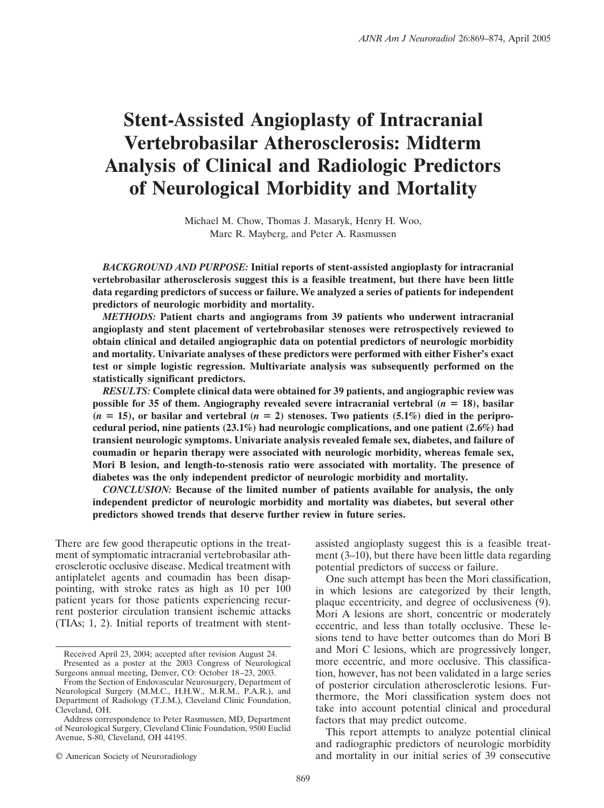# **Stent-Assisted Angioplasty of Intracranial Vertebrobasilar Atherosclerosis: Midterm Analysis of Clinical and Radiologic Predictors of Neurological Morbidity and Mortality**

Michael M. Chow, Thomas J. Masaryk, Henry H. Woo, Marc R. Mayberg, and Peter A. Rasmussen

*BACKGROUND AND PURPOSE:* **Initial reports of stent-assisted angioplasty for intracranial vertebrobasilar atherosclerosis suggest this is a feasible treatment, but there have been little data regarding predictors of success or failure. We analyzed a series of patients for independent predictors of neurologic morbidity and mortality.**

*METHODS:* **Patient charts and angiograms from 39 patients who underwent intracranial angioplasty and stent placement of vertebrobasilar stenoses were retrospectively reviewed to obtain clinical and detailed angiographic data on potential predictors of neurologic morbidity and mortality. Univariate analyses of these predictors were performed with either Fisher's exact test or simple logistic regression. Multivariate analysis was subsequently performed on the statistically significant predictors.**

*RESULTS:* **Complete clinical data were obtained for 39 patients, and angiographic review was possible for 35 of them. Angiography revealed severe intracranial vertebral**  $(n = 18)$ **, basilar**  $(n = 15)$ , or basilar and vertebral  $(n = 2)$  stenoses. Two patients  $(5.1\%)$  died in the peripro**cedural period, nine patients (23.1%) had neurologic complications, and one patient (2.6%) had transient neurologic symptoms. Univariate analysis revealed female sex, diabetes, and failure of coumadin or heparin therapy were associated with neurologic morbidity, whereas female sex, Mori B lesion, and length-to-stenosis ratio were associated with mortality. The presence of diabetes was the only independent predictor of neurologic morbidity and mortality.**

*CONCLUSION:* **Because of the limited number of patients available for analysis, the only independent predictor of neurologic morbidity and mortality was diabetes, but several other predictors showed trends that deserve further review in future series.**

There are few good therapeutic options in the treatment of symptomatic intracranial vertebrobasilar atherosclerotic occlusive disease. Medical treatment with antiplatelet agents and coumadin has been disappointing, with stroke rates as high as 10 per 100 patient years for those patients experiencing recurrent posterior circulation transient ischemic attacks (TIAs; 1, 2). Initial reports of treatment with stent-

© American Society of Neuroradiology

assisted angioplasty suggest this is a feasible treatment (3–10), but there have been little data regarding potential predictors of success or failure.

One such attempt has been the Mori classification, in which lesions are categorized by their length, plaque eccentricity, and degree of occlusiveness (9). Mori A lesions are short, concentric or moderately eccentric, and less than totally occlusive. These lesions tend to have better outcomes than do Mori B and Mori C lesions, which are progressively longer, more eccentric, and more occlusive. This classification, however, has not been validated in a large series of posterior circulation atherosclerotic lesions. Furthermore, the Mori classification system does not take into account potential clinical and procedural factors that may predict outcome.

This report attempts to analyze potential clinical and radiographic predictors of neurologic morbidity and mortality in our initial series of 39 consecutive

Received April 23, 2004; accepted after revision August 24. Presented as a poster at the 2003 Congress of Neurological Surgeons annual meeting, Denver, CO: October 18 –23, 2003.

From the Section of Endovascular Neurosurgery, Department of Neurological Surgery (M.M.C., H.H.W., M.R.M., P.A.R.), and Department of Radiology (T.J.M.), Cleveland Clinic Foundation, Cleveland, OH.

Address correspondence to Peter Rasmussen, MD, Department of Neurological Surgery, Cleveland Clinic Foundation, 9500 Euclid Avenue, S-80, Cleveland, OH 44195.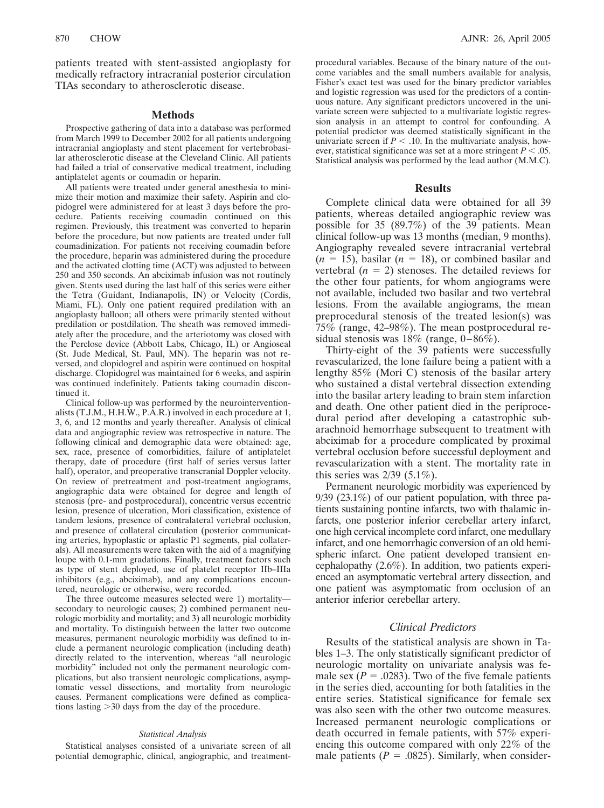patients treated with stent-assisted angioplasty for medically refractory intracranial posterior circulation TIAs secondary to atherosclerotic disease.

## **Methods**

Prospective gathering of data into a database was performed from March 1999 to December 2002 for all patients undergoing intracranial angioplasty and stent placement for vertebrobasilar atherosclerotic disease at the Cleveland Clinic. All patients had failed a trial of conservative medical treatment, including antiplatelet agents or coumadin or heparin.

All patients were treated under general anesthesia to minimize their motion and maximize their safety. Aspirin and clopidogrel were administered for at least 3 days before the procedure. Patients receiving coumadin continued on this regimen. Previously, this treatment was converted to heparin before the procedure, but now patients are treated under full coumadinization. For patients not receiving coumadin before the procedure, heparin was administered during the procedure and the activated clotting time (ACT) was adjusted to between 250 and 350 seconds. An abciximab infusion was not routinely given. Stents used during the last half of this series were either the Tetra (Guidant, Indianapolis, IN) or Velocity (Cordis, Miami, FL). Only one patient required predilation with an angioplasty balloon; all others were primarily stented without predilation or postdilation. The sheath was removed immediately after the procedure, and the arteriotomy was closed with the Perclose device (Abbott Labs, Chicago, IL) or Angioseal (St. Jude Medical, St. Paul, MN). The heparin was not reversed, and clopidogrel and aspirin were continued on hospital discharge. Clopidogrel was maintained for 6 weeks, and aspirin was continued indefinitely. Patients taking coumadin discontinued it.

Clinical follow-up was performed by the neurointerventionalists (T.J.M., H.H.W., P.A.R.) involved in each procedure at 1, 3, 6, and 12 months and yearly thereafter. Analysis of clinical data and angiographic review was retrospective in nature. The following clinical and demographic data were obtained: age, sex, race, presence of comorbidities, failure of antiplatelet therapy, date of procedure (first half of series versus latter half), operator, and preoperative transcranial Doppler velocity. On review of pretreatment and post-treatment angiograms, angiographic data were obtained for degree and length of stenosis (pre- and postprocedural), concentric versus eccentric lesion, presence of ulceration, Mori classification, existence of tandem lesions, presence of contralateral vertebral occlusion, and presence of collateral circulation (posterior communicating arteries, hypoplastic or aplastic P1 segments, pial collaterals). All measurements were taken with the aid of a magnifying loupe with 0.1-mm gradations. Finally, treatment factors such as type of stent deployed, use of platelet receptor IIb–IIIa inhibitors (e.g., abciximab), and any complications encountered, neurologic or otherwise, were recorded.

The three outcome measures selected were 1) mortality secondary to neurologic causes; 2) combined permanent neurologic morbidity and mortality; and 3) all neurologic morbidity and mortality. To distinguish between the latter two outcome measures, permanent neurologic morbidity was defined to include a permanent neurologic complication (including death) directly related to the intervention, whereas "all neurologic morbidity" included not only the permanent neurologic complications, but also transient neurologic complications, asymptomatic vessel dissections, and mortality from neurologic causes. Permanent complications were defined as complications lasting 30 days from the day of the procedure.

#### *Statistical Analysis*

Statistical analyses consisted of a univariate screen of all potential demographic, clinical, angiographic, and treatment-

procedural variables. Because of the binary nature of the outcome variables and the small numbers available for analysis, Fisher's exact test was used for the binary predictor variables and logistic regression was used for the predictors of a continuous nature. Any significant predictors uncovered in the univariate screen were subjected to a multivariate logistic regression analysis in an attempt to control for confounding. A potential predictor was deemed statistically significant in the univariate screen if  $P < 0.10$ . In the multivariate analysis, however, statistical significance was set at a more stringent  $P < .05$ . Statistical analysis was performed by the lead author (M.M.C).

#### **Results**

Complete clinical data were obtained for all 39 patients, whereas detailed angiographic review was possible for 35 (89.7%) of the 39 patients. Mean clinical follow-up was 13 months (median, 9 months). Angiography revealed severe intracranial vertebral  $(n = 15)$ , basilar  $(n = 18)$ , or combined basilar and vertebral  $(n = 2)$  stenoses. The detailed reviews for the other four patients, for whom angiograms were not available, included two basilar and two vertebral lesions. From the available angiograms, the mean preprocedural stenosis of the treated lesion(s) was  $75\%$  (range, 42–98%). The mean postprocedural residual stenosis was  $18\%$  (range,  $0-86\%$ ).

Thirty-eight of the 39 patients were successfully revascularized, the lone failure being a patient with a lengthy 85% (Mori C) stenosis of the basilar artery who sustained a distal vertebral dissection extending into the basilar artery leading to brain stem infarction and death. One other patient died in the periprocedural period after developing a catastrophic subarachnoid hemorrhage subsequent to treatment with abciximab for a procedure complicated by proximal vertebral occlusion before successful deployment and revascularization with a stent. The mortality rate in this series was  $2/39$  (5.1%).

Permanent neurologic morbidity was experienced by 9/39 (23.1%) of our patient population, with three patients sustaining pontine infarcts, two with thalamic infarcts, one posterior inferior cerebellar artery infarct, one high cervical incomplete cord infarct, one medullary infarct, and one hemorrhagic conversion of an old hemispheric infarct. One patient developed transient encephalopathy (2.6%). In addition, two patients experienced an asymptomatic vertebral artery dissection, and one patient was asymptomatic from occlusion of an anterior inferior cerebellar artery.

## *Clinical Predictors*

Results of the statistical analysis are shown in Tables 1–3. The only statistically significant predictor of neurologic mortality on univariate analysis was female sex ( $P = .0283$ ). Two of the five female patients in the series died, accounting for both fatalities in the entire series. Statistical significance for female sex was also seen with the other two outcome measures. Increased permanent neurologic complications or death occurred in female patients, with 57% experiencing this outcome compared with only 22% of the male patients  $(P = .0825)$ . Similarly, when consider-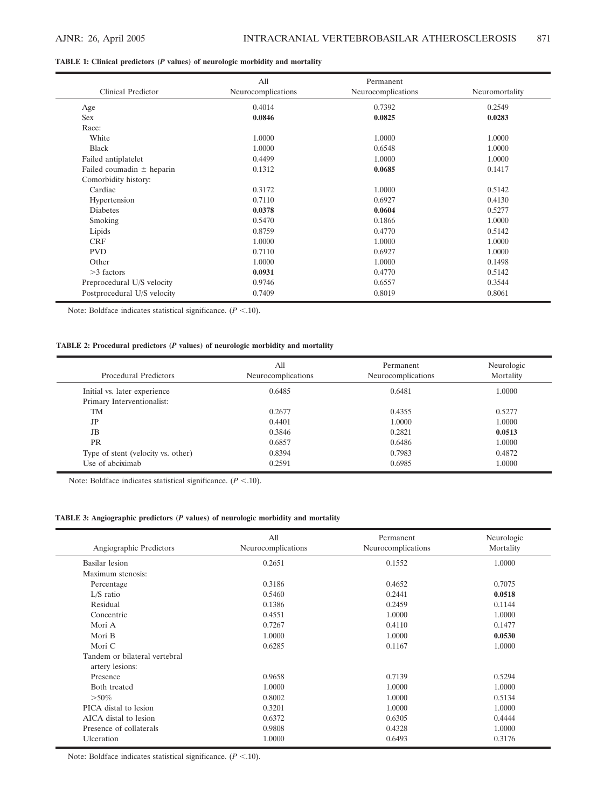## **TABLE 1: Clinical predictors (***P* **values) of neurologic morbidity and mortality**

| Clinical Predictor            | All<br>Neurocomplications | Permanent<br>Neurocomplications | Neuromortality |
|-------------------------------|---------------------------|---------------------------------|----------------|
| Age                           | 0.4014                    | 0.7392                          | 0.2549         |
| Sex                           | 0.0846                    | 0.0825                          | 0.0283         |
| Race:                         |                           |                                 |                |
| White                         | 1.0000                    | 1.0000                          | 1.0000         |
| <b>Black</b>                  | 1.0000                    | 0.6548                          | 1.0000         |
| Failed antiplatelet           | 0.4499                    | 1.0000                          | 1.0000         |
| Failed coumadin $\pm$ heparin | 0.1312                    | 0.0685                          | 0.1417         |
| Comorbidity history:          |                           |                                 |                |
| Cardiac                       | 0.3172                    | 1.0000                          | 0.5142         |
| Hypertension                  | 0.7110                    | 0.6927                          | 0.4130         |
| Diabetes                      | 0.0378                    | 0.0604                          | 0.5277         |
| Smoking                       | 0.5470                    | 0.1866                          | 1.0000         |
| Lipids                        | 0.8759                    | 0.4770                          | 0.5142         |
| <b>CRF</b>                    | 1.0000                    | 1.0000                          | 1.0000         |
| <b>PVD</b>                    | 0.7110                    | 0.6927                          | 1.0000         |
| Other                         | 1.0000                    | 1.0000                          | 0.1498         |
| $>3$ factors                  | 0.0931                    | 0.4770                          | 0.5142         |
| Preprocedural U/S velocity    | 0.9746                    | 0.6557                          | 0.3544         |
| Postprocedural U/S velocity   | 0.7409                    | 0.8019                          | 0.8061         |

Note: Boldface indicates statistical significance.  $(P < 10)$ .

## **TABLE 2: Procedural predictors (***P* **values) of neurologic morbidity and mortality**

| <b>Procedural Predictors</b>       | All<br>Neurocomplications | Permanent<br>Neurocomplications | Neurologic<br>Mortality |
|------------------------------------|---------------------------|---------------------------------|-------------------------|
| Initial vs. later experience       | 0.6485                    | 0.6481                          | 1.0000                  |
| Primary Interventionalist:         |                           |                                 |                         |
| TM                                 | 0.2677                    | 0.4355                          | 0.5277                  |
| JP                                 | 0.4401                    | 1.0000                          | 1.0000                  |
| <b>JB</b>                          | 0.3846                    | 0.2821                          | 0.0513                  |
| <b>PR</b>                          | 0.6857                    | 0.6486                          | 1.0000                  |
| Type of stent (velocity vs. other) | 0.8394                    | 0.7983                          | 0.4872                  |
| Use of abciximab                   | 0.2591                    | 0.6985                          | 1.0000                  |

Note: Boldface indicates statistical significance.  $(P < 10)$ .

## **TABLE 3: Angiographic predictors (***P* **values) of neurologic morbidity and mortality**

| Angiographic Predictors                          | All<br>Neurocomplications | Permanent<br>Neurocomplications | Neurologic<br>Mortality |
|--------------------------------------------------|---------------------------|---------------------------------|-------------------------|
| Basilar lesion                                   | 0.2651                    | 0.1552                          | 1.0000                  |
| Maximum stenosis:                                |                           |                                 |                         |
| Percentage                                       | 0.3186                    | 0.4652                          | 0.7075                  |
| $L/S$ ratio                                      | 0.5460                    | 0.2441                          | 0.0518                  |
| Residual                                         | 0.1386                    | 0.2459                          | 0.1144                  |
| Concentric                                       | 0.4551                    | 1.0000                          | 1.0000                  |
| Mori A                                           | 0.7267                    | 0.4110                          | 0.1477                  |
| Mori B                                           | 1.0000                    | 1.0000                          | 0.0530                  |
| Mori C                                           | 0.6285                    | 0.1167                          | 1.0000                  |
| Tandem or bilateral vertebral<br>artery lesions: |                           |                                 |                         |
| Presence                                         | 0.9658                    | 0.7139                          | 0.5294                  |
| Both treated                                     | 1.0000                    | 1.0000                          | 1.0000                  |
| $> 50\%$                                         | 0.8002                    | 1.0000                          | 0.5134                  |
| PICA distal to lesion                            | 0.3201                    | 1.0000                          | 1.0000                  |
| AICA distal to lesion                            | 0.6372                    | 0.6305                          | 0.4444                  |
| Presence of collaterals                          | 0.9808                    | 0.4328                          | 1.0000                  |
| Ulceration                                       | 1.0000                    | 0.6493                          | 0.3176                  |

Note: Boldface indicates statistical significance.  $(P < 10)$ .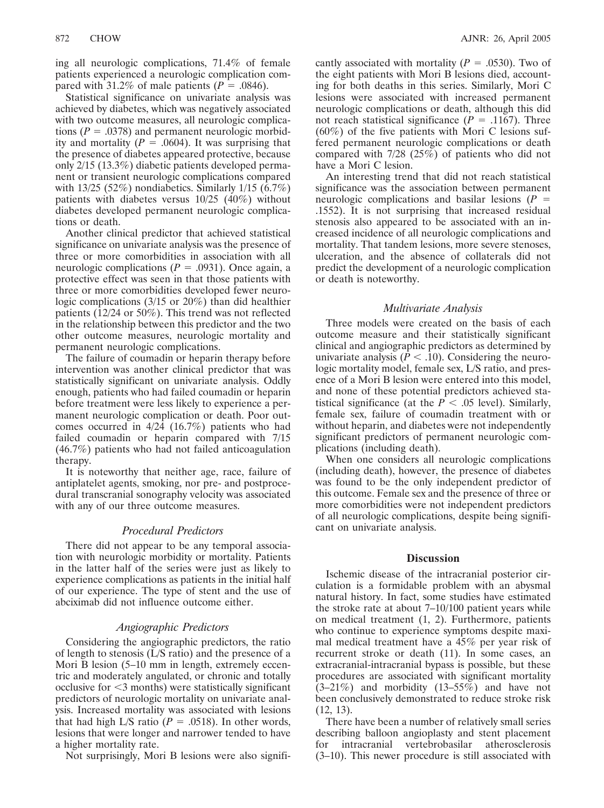ing all neurologic complications, 71.4% of female patients experienced a neurologic complication compared with 31.2% of male patients  $(P = .0846)$ .

Statistical significance on univariate analysis was achieved by diabetes, which was negatively associated with two outcome measures, all neurologic complications  $(P = .0378)$  and permanent neurologic morbidity and mortality  $(P = .0604)$ . It was surprising that the presence of diabetes appeared protective, because only 2/15 (13.3%) diabetic patients developed permanent or transient neurologic complications compared with 13/25 (52%) nondiabetics. Similarly 1/15 (6.7%) patients with diabetes versus 10/25 (40%) without diabetes developed permanent neurologic complications or death.

Another clinical predictor that achieved statistical significance on univariate analysis was the presence of three or more comorbidities in association with all neurologic complications ( $P = .0931$ ). Once again, a protective effect was seen in that those patients with three or more comorbidities developed fewer neurologic complications (3/15 or 20%) than did healthier patients (12/24 or 50%). This trend was not reflected in the relationship between this predictor and the two other outcome measures, neurologic mortality and permanent neurologic complications.

The failure of coumadin or heparin therapy before intervention was another clinical predictor that was statistically significant on univariate analysis. Oddly enough, patients who had failed coumadin or heparin before treatment were less likely to experience a permanent neurologic complication or death. Poor outcomes occurred in 4/24 (16.7%) patients who had failed coumadin or heparin compared with 7/15 (46.7%) patients who had not failed anticoagulation therapy.

It is noteworthy that neither age, race, failure of antiplatelet agents, smoking, nor pre- and postprocedural transcranial sonography velocity was associated with any of our three outcome measures.

## *Procedural Predictors*

There did not appear to be any temporal association with neurologic morbidity or mortality. Patients in the latter half of the series were just as likely to experience complications as patients in the initial half of our experience. The type of stent and the use of abciximab did not influence outcome either.

## *Angiographic Predictors*

Considering the angiographic predictors, the ratio of length to stenosis (L/S ratio) and the presence of a Mori B lesion (5–10 mm in length, extremely eccentric and moderately angulated, or chronic and totally occlusive for -3 months) were statistically significant predictors of neurologic mortality on univariate analysis. Increased mortality was associated with lesions that had high L/S ratio  $(P = .0518)$ . In other words, lesions that were longer and narrower tended to have a higher mortality rate.

Not surprisingly, Mori B lesions were also signifi-

cantly associated with mortality  $(P = .0530)$ . Two of the eight patients with Mori B lesions died, accounting for both deaths in this series. Similarly, Mori C lesions were associated with increased permanent neurologic complications or death, although this did not reach statistical significance ( $P = .1167$ ). Three  $(60\%)$  of the five patients with Mori C lesions suffered permanent neurologic complications or death compared with 7/28 (25%) of patients who did not have a Mori C lesion.

An interesting trend that did not reach statistical significance was the association between permanent neurologic complications and basilar lesions (*P* .1552). It is not surprising that increased residual stenosis also appeared to be associated with an increased incidence of all neurologic complications and mortality. That tandem lesions, more severe stenoses, ulceration, and the absence of collaterals did not predict the development of a neurologic complication or death is noteworthy.

## *Multivariate Analysis*

Three models were created on the basis of each outcome measure and their statistically significant clinical and angiographic predictors as determined by univariate analysis ( $P < .10$ ). Considering the neurologic mortality model, female sex, L/S ratio, and presence of a Mori B lesion were entered into this model, and none of these potential predictors achieved statistical significance (at the  $P < .05$  level). Similarly, female sex, failure of coumadin treatment with or without heparin, and diabetes were not independently significant predictors of permanent neurologic complications (including death).

When one considers all neurologic complications (including death), however, the presence of diabetes was found to be the only independent predictor of this outcome. Female sex and the presence of three or more comorbidities were not independent predictors of all neurologic complications, despite being significant on univariate analysis.

## **Discussion**

Ischemic disease of the intracranial posterior circulation is a formidable problem with an abysmal natural history. In fact, some studies have estimated the stroke rate at about 7–10/100 patient years while on medical treatment (1, 2). Furthermore, patients who continue to experience symptoms despite maximal medical treatment have a 45% per year risk of recurrent stroke or death (11). In some cases, an extracranial-intracranial bypass is possible, but these procedures are associated with significant mortality  $(3-21\%)$  and morbidity  $(13-55\%)$  and have not been conclusively demonstrated to reduce stroke risk (12, 13).

There have been a number of relatively small series describing balloon angioplasty and stent placement for intracranial vertebrobasilar atherosclerosis (3–10). This newer procedure is still associated with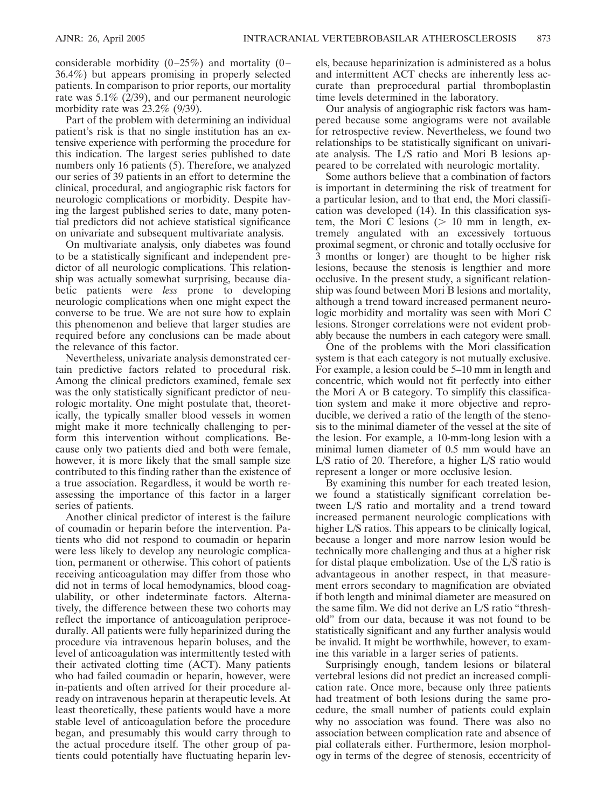considerable morbidity  $(0-25\%)$  and mortality  $(0-$ 36.4%) but appears promising in properly selected patients. In comparison to prior reports, our mortality rate was 5.1% (2/39), and our permanent neurologic morbidity rate was 23.2% (9/39).

Part of the problem with determining an individual patient's risk is that no single institution has an extensive experience with performing the procedure for this indication. The largest series published to date numbers only 16 patients (5). Therefore, we analyzed our series of 39 patients in an effort to determine the clinical, procedural, and angiographic risk factors for neurologic complications or morbidity. Despite having the largest published series to date, many potential predictors did not achieve statistical significance on univariate and subsequent multivariate analysis.

On multivariate analysis, only diabetes was found to be a statistically significant and independent predictor of all neurologic complications. This relationship was actually somewhat surprising, because diabetic patients were *less* prone to developing neurologic complications when one might expect the converse to be true. We are not sure how to explain this phenomenon and believe that larger studies are required before any conclusions can be made about the relevance of this factor.

Nevertheless, univariate analysis demonstrated certain predictive factors related to procedural risk. Among the clinical predictors examined, female sex was the only statistically significant predictor of neurologic mortality. One might postulate that, theoretically, the typically smaller blood vessels in women might make it more technically challenging to perform this intervention without complications. Because only two patients died and both were female, however, it is more likely that the small sample size contributed to this finding rather than the existence of a true association. Regardless, it would be worth reassessing the importance of this factor in a larger series of patients.

Another clinical predictor of interest is the failure of coumadin or heparin before the intervention. Patients who did not respond to coumadin or heparin were less likely to develop any neurologic complication, permanent or otherwise. This cohort of patients receiving anticoagulation may differ from those who did not in terms of local hemodynamics, blood coagulability, or other indeterminate factors. Alternatively, the difference between these two cohorts may reflect the importance of anticoagulation periprocedurally. All patients were fully heparinized during the procedure via intravenous heparin boluses, and the level of anticoagulation was intermittently tested with their activated clotting time (ACT). Many patients who had failed coumadin or heparin, however, were in-patients and often arrived for their procedure already on intravenous heparin at therapeutic levels. At least theoretically, these patients would have a more stable level of anticoagulation before the procedure began, and presumably this would carry through to the actual procedure itself. The other group of patients could potentially have fluctuating heparin levels, because heparinization is administered as a bolus and intermittent ACT checks are inherently less accurate than preprocedural partial thromboplastin time levels determined in the laboratory.

Our analysis of angiographic risk factors was hampered because some angiograms were not available for retrospective review. Nevertheless, we found two relationships to be statistically significant on univariate analysis. The L/S ratio and Mori B lesions appeared to be correlated with neurologic mortality.

Some authors believe that a combination of factors is important in determining the risk of treatment for a particular lesion, and to that end, the Mori classification was developed (14). In this classification system, the Mori C lesions ( $> 10$  mm in length, extremely angulated with an excessively tortuous proximal segment, or chronic and totally occlusive for 3 months or longer) are thought to be higher risk lesions, because the stenosis is lengthier and more occlusive. In the present study, a significant relationship was found between Mori B lesions and mortality, although a trend toward increased permanent neurologic morbidity and mortality was seen with Mori C lesions. Stronger correlations were not evident probably because the numbers in each category were small.

One of the problems with the Mori classification system is that each category is not mutually exclusive. For example, a lesion could be 5–10 mm in length and concentric, which would not fit perfectly into either the Mori A or B category. To simplify this classification system and make it more objective and reproducible, we derived a ratio of the length of the stenosis to the minimal diameter of the vessel at the site of the lesion. For example, a 10-mm-long lesion with a minimal lumen diameter of 0.5 mm would have an L/S ratio of 20. Therefore, a higher L/S ratio would represent a longer or more occlusive lesion.

By examining this number for each treated lesion, we found a statistically significant correlation between L/S ratio and mortality and a trend toward increased permanent neurologic complications with higher L/S ratios. This appears to be clinically logical, because a longer and more narrow lesion would be technically more challenging and thus at a higher risk for distal plaque embolization. Use of the L/S ratio is advantageous in another respect, in that measurement errors secondary to magnification are obviated if both length and minimal diameter are measured on the same film. We did not derive an L/S ratio "threshold" from our data, because it was not found to be statistically significant and any further analysis would be invalid. It might be worthwhile, however, to examine this variable in a larger series of patients.

Surprisingly enough, tandem lesions or bilateral vertebral lesions did not predict an increased complication rate. Once more, because only three patients had treatment of both lesions during the same procedure, the small number of patients could explain why no association was found. There was also no association between complication rate and absence of pial collaterals either. Furthermore, lesion morphology in terms of the degree of stenosis, eccentricity of